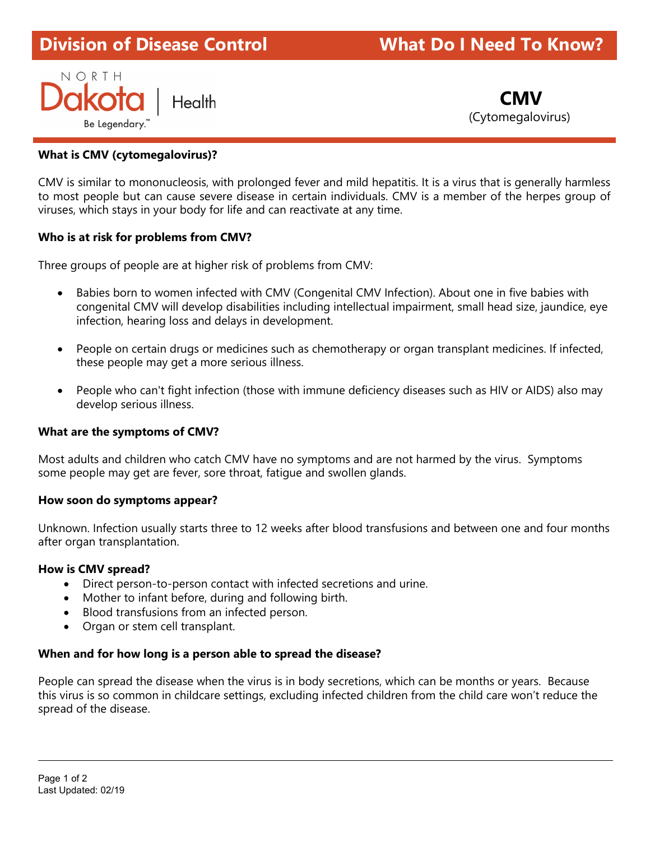# Division of Disease Control What Do I Need To Know?ł

# NORTH **Dakota** Health **CMV** Be Legendary.<sup>"</sup> I and the contract of the contract of the contract of the contract of the contract of the contract of the contract of the contract of the contract of the contract of the contract of the contract of the con

# What is CMV (cytomegalovirus)?

CMV is similar to mononucleosis, with prolonged fever and mild hepatitis. It is a virus that is generally harmless to most people but can cause severe disease in certain individuals. CMV is a member of the herpes group of viruses, which stays in your body for life and can reactivate at any time.

# Who is at risk for problems from CMV?

Three groups of people are at higher risk of problems from CMV:

- Babies born to women infected with CMV (Congenital CMV Infection). About one in five babies with congenital CMV will develop disabilities including intellectual impairment, small head size, jaundice, eye infection, hearing loss and delays in development.
- People on certain drugs or medicines such as chemotherapy or organ transplant medicines. If infected, these people may get a more serious illness.
- People who can't fight infection (those with immune deficiency diseases such as HIV or AIDS) also may develop serious illness.

# What are the symptoms of CMV?

Most adults and children who catch CMV have no symptoms and are not harmed by the virus. Symptoms some people may get are fever, sore throat, fatigue and swollen glands.

# How soon do symptoms appear?

Unknown. Infection usually starts three to 12 weeks after blood transfusions and between one and four months after organ transplantation.

# How is CMV spread?

- Direct person-to-person contact with infected secretions and urine.
- Mother to infant before, during and following birth.
- Blood transfusions from an infected person.
- Organ or stem cell transplant.

# When and for how long is a person able to spread the disease?

People can spread the disease when the virus is in body secretions, which can be months or years. Because this virus is so common in childcare settings, excluding infected children from the child care won't reduce the spread of the disease.